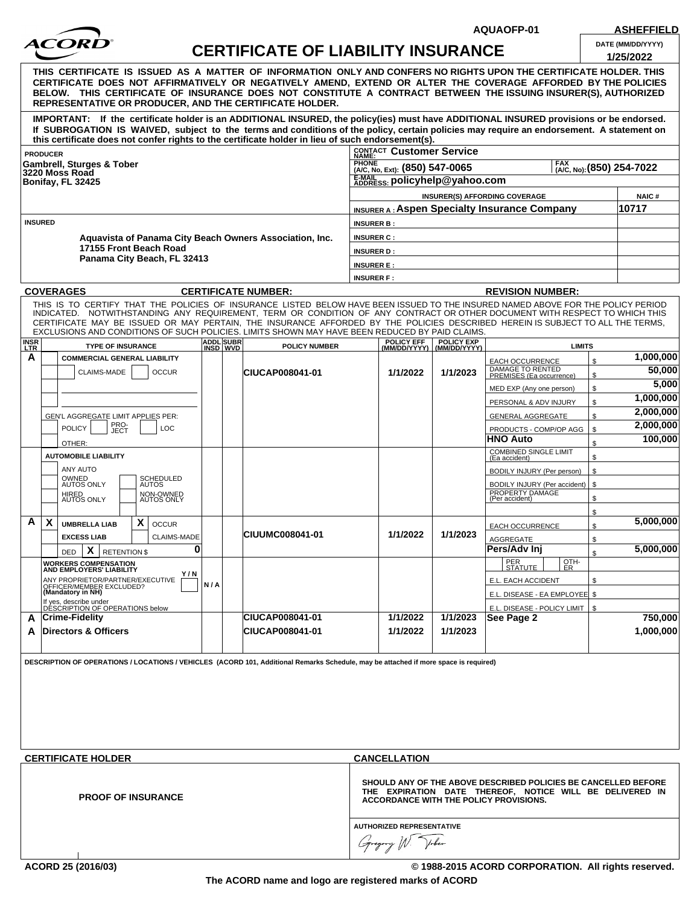

## **CERTIFICATE OF LIABILITY INSURANCE DATE (MM/DD/YYYY)**

**AQUAOFP-01 ASHEFFIELD**

| DATE (MM/DD/YYYY) |  |
|-------------------|--|
| 110F10000         |  |

|                                                                                                                                                                                                                                                                                                                                                                                                                  |                                                         |  | <u>CERTIFICATE OF LIADILITY INSURANCE</u> |                                                                                                                                                                      |                           |                                                                   |          | 1/25/2022            |  |
|------------------------------------------------------------------------------------------------------------------------------------------------------------------------------------------------------------------------------------------------------------------------------------------------------------------------------------------------------------------------------------------------------------------|---------------------------------------------------------|--|-------------------------------------------|----------------------------------------------------------------------------------------------------------------------------------------------------------------------|---------------------------|-------------------------------------------------------------------|----------|----------------------|--|
| THIS CERTIFICATE IS ISSUED AS A MATTER OF INFORMATION ONLY AND CONFERS NO RIGHTS UPON THE CERTIFICATE HOLDER. THIS<br>CERTIFICATE DOES NOT AFFIRMATIVELY OR NEGATIVELY AMEND, EXTEND OR ALTER THE COVERAGE AFFORDED BY THE POLICIES<br>BELOW. THIS CERTIFICATE OF INSURANCE DOES NOT CONSTITUTE A CONTRACT BETWEEN THE ISSUING INSURER(S), AUTHORIZED<br>REPRESENTATIVE OR PRODUCER, AND THE CERTIFICATE HOLDER. |                                                         |  |                                           |                                                                                                                                                                      |                           |                                                                   |          |                      |  |
| IMPORTANT: If the certificate holder is an ADDITIONAL INSURED, the policy(ies) must have ADDITIONAL INSURED provisions or be endorsed.<br>If SUBROGATION IS WAIVED, subject to the terms and conditions of the policy, certain policies may require an endorsement. A statement on<br>this certificate does not confer rights to the certificate holder in lieu of such endorsement(s).                          |                                                         |  |                                           |                                                                                                                                                                      |                           |                                                                   |          |                      |  |
| <b>PRODUCER</b>                                                                                                                                                                                                                                                                                                                                                                                                  |                                                         |  |                                           | CONTACT Customer Service                                                                                                                                             |                           |                                                                   |          |                      |  |
| <b>Gambrell, Sturges &amp; Tober</b>                                                                                                                                                                                                                                                                                                                                                                             |                                                         |  |                                           | <b>PHONE</b><br>(A/C, No, Ext): (850) 547-0065                                                                                                                       | (A/C, No): (850) 254-7022 |                                                                   |          |                      |  |
| 3220 Moss Road<br>Bonifay, FL 32425                                                                                                                                                                                                                                                                                                                                                                              |                                                         |  |                                           | E-MAIL<br>ADDRESS: policyhelp@yahoo.com                                                                                                                              |                           |                                                                   |          |                      |  |
|                                                                                                                                                                                                                                                                                                                                                                                                                  |                                                         |  |                                           |                                                                                                                                                                      |                           | <b>INSURER(S) AFFORDING COVERAGE</b>                              |          | <b>NAIC#</b>         |  |
|                                                                                                                                                                                                                                                                                                                                                                                                                  |                                                         |  |                                           |                                                                                                                                                                      |                           | <b>INSURER A: Aspen Specialty Insurance Company</b>               |          | 10717                |  |
| <b>INSURED</b>                                                                                                                                                                                                                                                                                                                                                                                                   |                                                         |  |                                           | <b>INSURER B:</b>                                                                                                                                                    |                           |                                                                   |          |                      |  |
| Aquavista of Panama City Beach Owners Association, Inc.                                                                                                                                                                                                                                                                                                                                                          |                                                         |  |                                           | <b>INSURER C:</b>                                                                                                                                                    |                           |                                                                   |          |                      |  |
| 17155 Front Beach Road<br>Panama City Beach, FL 32413                                                                                                                                                                                                                                                                                                                                                            |                                                         |  |                                           | <b>INSURER D:</b>                                                                                                                                                    |                           |                                                                   |          |                      |  |
|                                                                                                                                                                                                                                                                                                                                                                                                                  |                                                         |  |                                           | <b>INSURER E:</b>                                                                                                                                                    |                           |                                                                   |          |                      |  |
|                                                                                                                                                                                                                                                                                                                                                                                                                  |                                                         |  |                                           | <b>INSURER F:</b>                                                                                                                                                    |                           |                                                                   |          |                      |  |
| <b>COVERAGES</b><br>THIS IS TO CERTIFY THAT THE POLICIES OF INSURANCE LISTED BELOW HAVE BEEN ISSUED TO THE INSURED NAMED ABOVE FOR THE POLICY PERIOD                                                                                                                                                                                                                                                             |                                                         |  | <b>CERTIFICATE NUMBER:</b>                |                                                                                                                                                                      |                           | <b>REVISION NUMBER:</b>                                           |          |                      |  |
| INDICATED. NOTWITHSTANDING ANY REQUIREMENT, TERM OR CONDITION OF ANY CONTRACT OR OTHER DOCUMENT WITH RESPECT TO WHICH THIS<br>CERTIFICATE MAY BE ISSUED OR MAY PERTAIN, THE INSURANCE AFFORDED BY THE POLICIES DESCRIBED HEREIN IS SUBJECT TO ALL THE TERMS,<br>EXCLUSIONS AND CONDITIONS OF SUCH POLICIES. LIMITS SHOWN MAY HAVE BEEN REDUCED BY PAID CLAIMS.                                                   |                                                         |  |                                           |                                                                                                                                                                      |                           |                                                                   |          |                      |  |
| <b>INSR</b><br>LTR<br><b>TYPE OF INSURANCE</b>                                                                                                                                                                                                                                                                                                                                                                   | <b>ADDL</b> SUBR<br>INSD WVD                            |  | <b>POLICY NUMBER</b>                      | POLICY EFF POLICY EXP<br>(MM/DD/YYYY) (MM/DD/YYYY)                                                                                                                   |                           | <b>LIMITS</b>                                                     |          |                      |  |
| A<br><b>COMMERCIAL GENERAL LIABILITY</b>                                                                                                                                                                                                                                                                                                                                                                         |                                                         |  |                                           |                                                                                                                                                                      |                           | EACH OCCURRENCE                                                   | \$       | 1,000,000            |  |
| CLAIMS-MADE<br><b>OCCUR</b>                                                                                                                                                                                                                                                                                                                                                                                      |                                                         |  | CIUCAP008041-01                           | 1/1/2022                                                                                                                                                             | 1/1/2023                  | DAMAGE TO RENTED<br>PREMISES (Ea occurrence)                      | \$       | 50,000               |  |
|                                                                                                                                                                                                                                                                                                                                                                                                                  |                                                         |  |                                           |                                                                                                                                                                      |                           | MED EXP (Any one person)                                          | \$       | 5,000<br>1,000,000   |  |
|                                                                                                                                                                                                                                                                                                                                                                                                                  |                                                         |  |                                           |                                                                                                                                                                      |                           | PERSONAL & ADV INJURY                                             | \$       | 2,000,000            |  |
| GEN'L AGGREGATE LIMIT APPLIES PER:<br>PRO-<br>JECT                                                                                                                                                                                                                                                                                                                                                               |                                                         |  |                                           |                                                                                                                                                                      |                           | <b>GENERAL AGGREGATE</b>                                          | \$       | 2,000,000            |  |
| <b>POLICY</b><br>LOC                                                                                                                                                                                                                                                                                                                                                                                             |                                                         |  |                                           |                                                                                                                                                                      |                           | PRODUCTS - COMP/OP AGG<br><b>HNO Auto</b>                         | \$       | 100,000              |  |
| OTHER:<br><b>AUTOMOBILE LIABILITY</b>                                                                                                                                                                                                                                                                                                                                                                            |                                                         |  |                                           |                                                                                                                                                                      |                           | COMBINED SINGLE LIMIT                                             | \$<br>\$ |                      |  |
| ANY AUTO                                                                                                                                                                                                                                                                                                                                                                                                         |                                                         |  |                                           |                                                                                                                                                                      |                           | (Ea accident)<br>BODILY INJURY (Per person)                       | \$       |                      |  |
| OWNED<br>AUTOS ONLY<br>SCHEDULED<br>AUTOS<br>NON-OWNED<br>AUTOS ONLY<br>HIRED<br>AUTOS ONLY                                                                                                                                                                                                                                                                                                                      |                                                         |  |                                           |                                                                                                                                                                      |                           | BODILY INJURY (Per accident)<br>PROPERTY DAMAGE<br>(Per accident) | \$<br>\$ |                      |  |
| A<br>X<br>X                                                                                                                                                                                                                                                                                                                                                                                                      |                                                         |  |                                           |                                                                                                                                                                      |                           |                                                                   | \$       | 5,000,000            |  |
| <b>UMBRELLA LIAB</b><br><b>OCCUR</b><br><b>EXCESS LIAB</b><br>CLAIMS-MADE                                                                                                                                                                                                                                                                                                                                        |                                                         |  | CIUUMC008041-01                           | 1/1/2022                                                                                                                                                             | 1/1/2023                  | <b>EACH OCCURRENCE</b>                                            | \$       |                      |  |
| $X$ RETENTION \$<br><b>DED</b>                                                                                                                                                                                                                                                                                                                                                                                   | 0                                                       |  |                                           |                                                                                                                                                                      |                           | AGGREGATE<br>Pers/Adv Ini                                         | \$<br>\$ | 5,000,000            |  |
| <b>WORKERS COMPENSATION</b><br>AND EMPLOYERS' LIABILITY                                                                                                                                                                                                                                                                                                                                                          |                                                         |  |                                           |                                                                                                                                                                      |                           | PER<br>OTH-<br>STATUTE  <br>E                                     |          |                      |  |
| Y/N                                                                                                                                                                                                                                                                                                                                                                                                              |                                                         |  |                                           |                                                                                                                                                                      |                           | E.L. EACH ACCIDENT                                                | \$       |                      |  |
| ANY PROPRIETOR/PARTNER/EXECUTIVE<br>OFFICER/MEMBER EXCLUDED?<br><b>(Mandatory in NH)</b>                                                                                                                                                                                                                                                                                                                         | N/A                                                     |  |                                           |                                                                                                                                                                      |                           | E.L. DISEASE - EA EMPLOYEE \$                                     |          |                      |  |
| If yes, describe under<br>DÉSCRIPTION OF OPERATIONS below                                                                                                                                                                                                                                                                                                                                                        |                                                         |  |                                           |                                                                                                                                                                      |                           | E.L. DISEASE - POLICY LIMIT                                       | -\$      |                      |  |
| ∣Crime-Fidelity<br>A<br><b>Directors &amp; Officers</b>                                                                                                                                                                                                                                                                                                                                                          |                                                         |  | <b>CIUCAP008041-01</b><br>CIUCAP008041-01 | 1/1/2022<br>1/1/2022                                                                                                                                                 | 1/1/2023<br>1/1/2023      | See Page 2                                                        |          | 750,000<br>1,000,000 |  |
| A<br>DESCRIPTION OF OPERATIONS / LOCATIONS / VEHICLES (ACORD 101, Additional Remarks Schedule, may be attached if more space is required)                                                                                                                                                                                                                                                                        |                                                         |  |                                           |                                                                                                                                                                      |                           |                                                                   |          |                      |  |
| <b>CERTIFICATE HOLDER</b>                                                                                                                                                                                                                                                                                                                                                                                        |                                                         |  |                                           | <b>CANCELLATION</b>                                                                                                                                                  |                           |                                                                   |          |                      |  |
| <b>PROOF OF INSURANCE</b>                                                                                                                                                                                                                                                                                                                                                                                        |                                                         |  |                                           | SHOULD ANY OF THE ABOVE DESCRIBED POLICIES BE CANCELLED BEFORE<br>THE EXPIRATION DATE THEREOF, NOTICE WILL BE DELIVERED IN<br>ACCORDANCE WITH THE POLICY PROVISIONS. |                           |                                                                   |          |                      |  |
|                                                                                                                                                                                                                                                                                                                                                                                                                  | <b>AUTHORIZED REPRESENTATIVE</b><br>Voter<br>Gregory W. |  |                                           |                                                                                                                                                                      |                           |                                                                   |          |                      |  |

**ACORD 25 (2016/03) © 1988-2015 ACORD CORPORATION. All rights reserved.**